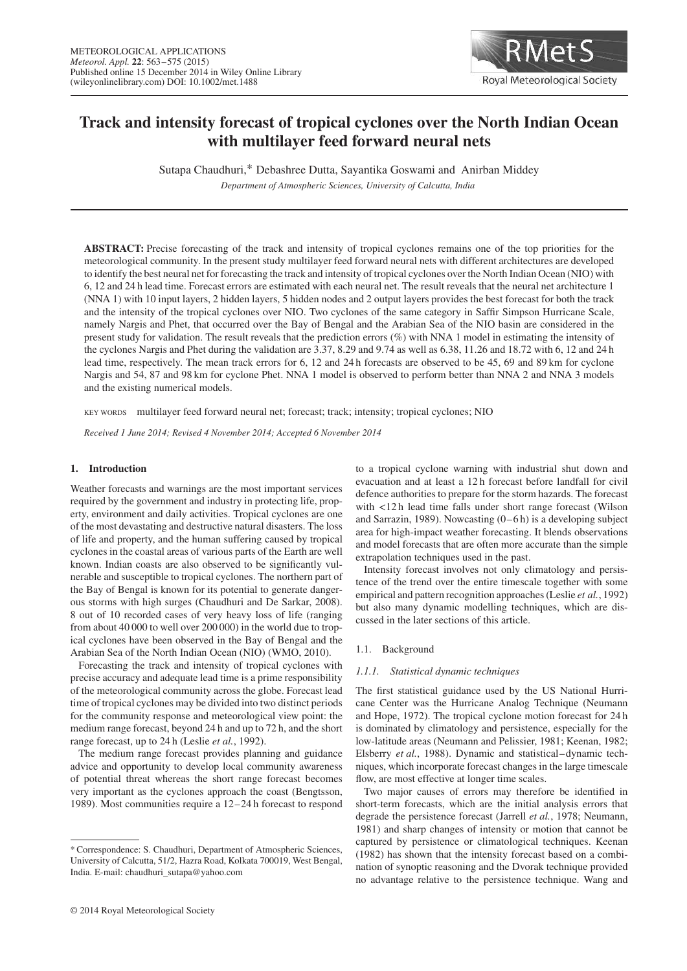

# **Track and intensity forecast of tropical cyclones over the North Indian Ocean with multilayer feed forward neural nets**

Sutapa Chaudhuri,\* Debashree Dutta, Sayantika Goswami and Anirban Middey

*Department of Atmospheric Sciences, University of Calcutta, India*

**ABSTRACT:** Precise forecasting of the track and intensity of tropical cyclones remains one of the top priorities for the meteorological community. In the present study multilayer feed forward neural nets with different architectures are developed to identify the best neural net for forecasting the track and intensity of tropical cyclones over the North Indian Ocean (NIO) with 6, 12 and 24 h lead time. Forecast errors are estimated with each neural net. The result reveals that the neural net architecture 1 (NNA 1) with 10 input layers, 2 hidden layers, 5 hidden nodes and 2 output layers provides the best forecast for both the track and the intensity of the tropical cyclones over NIO. Two cyclones of the same category in Saffir Simpson Hurricane Scale, namely Nargis and Phet, that occurred over the Bay of Bengal and the Arabian Sea of the NIO basin are considered in the present study for validation. The result reveals that the prediction errors (%) with NNA 1 model in estimating the intensity of the cyclones Nargis and Phet during the validation are 3.37, 8.29 and 9.74 as well as 6.38, 11.26 and 18.72 with 6, 12 and 24 h lead time, respectively. The mean track errors for 6, 12 and 24 h forecasts are observed to be 45, 69 and 89 km for cyclone Nargis and 54, 87 and 98 km for cyclone Phet. NNA 1 model is observed to perform better than NNA 2 and NNA 3 models and the existing numerical models.

KEY WORDS multilayer feed forward neural net; forecast; track; intensity; tropical cyclones; NIO

*Received 1 June 2014; Revised 4 November 2014; Accepted 6 November 2014*

# **1. Introduction**

Weather forecasts and warnings are the most important services required by the government and industry in protecting life, property, environment and daily activities. Tropical cyclones are one of the most devastating and destructive natural disasters. The loss of life and property, and the human suffering caused by tropical cyclones in the coastal areas of various parts of the Earth are well known. Indian coasts are also observed to be significantly vulnerable and susceptible to tropical cyclones. The northern part of the Bay of Bengal is known for its potential to generate dangerous storms with high surges (Chaudhuri and De Sarkar, 2008). 8 out of 10 recorded cases of very heavy loss of life (ranging from about 40 000 to well over 200 000) in the world due to tropical cyclones have been observed in the Bay of Bengal and the Arabian Sea of the North Indian Ocean (NIO) (WMO, 2010).

Forecasting the track and intensity of tropical cyclones with precise accuracy and adequate lead time is a prime responsibility of the meteorological community across the globe. Forecast lead time of tropical cyclones may be divided into two distinct periods for the community response and meteorological view point: the medium range forecast, beyond 24 h and up to 72 h, and the short range forecast, up to 24 h (Leslie *et al.*, 1992).

The medium range forecast provides planning and guidance advice and opportunity to develop local community awareness of potential threat whereas the short range forecast becomes very important as the cyclones approach the coast (Bengtsson, 1989). Most communities require a 12–24 h forecast to respond to a tropical cyclone warning with industrial shut down and evacuation and at least a 12 h forecast before landfall for civil defence authorities to prepare for the storm hazards. The forecast with *<*12 h lead time falls under short range forecast (Wilson and Sarrazin, 1989). Nowcasting  $(0-6 h)$  is a developing subject area for high-impact weather forecasting. It blends observations and model forecasts that are often more accurate than the simple extrapolation techniques used in the past.

Intensity forecast involves not only climatology and persistence of the trend over the entire timescale together with some empirical and pattern recognition approaches (Leslie *et al.*, 1992) but also many dynamic modelling techniques, which are discussed in the later sections of this article.

### 1.1. Background

# *1.1.1. Statistical dynamic techniques*

The first statistical guidance used by the US National Hurricane Center was the Hurricane Analog Technique (Neumann and Hope, 1972). The tropical cyclone motion forecast for 24 h is dominated by climatology and persistence, especially for the low-latitude areas (Neumann and Pelissier, 1981; Keenan, 1982; Elsberry *et al.*, 1988). Dynamic and statistical–dynamic techniques, which incorporate forecast changes in the large timescale flow, are most effective at longer time scales.

Two major causes of errors may therefore be identified in short-term forecasts, which are the initial analysis errors that degrade the persistence forecast (Jarrell *et al.*, 1978; Neumann, 1981) and sharp changes of intensity or motion that cannot be captured by persistence or climatological techniques. Keenan (1982) has shown that the intensity forecast based on a combination of synoptic reasoning and the Dvorak technique provided no advantage relative to the persistence technique. Wang and

<sup>\*</sup> Correspondence: S. Chaudhuri, Department of Atmospheric Sciences, University of Calcutta, 51/2, Hazra Road, Kolkata 700019, West Bengal, India. E-mail: chaudhuri\_sutapa@yahoo.com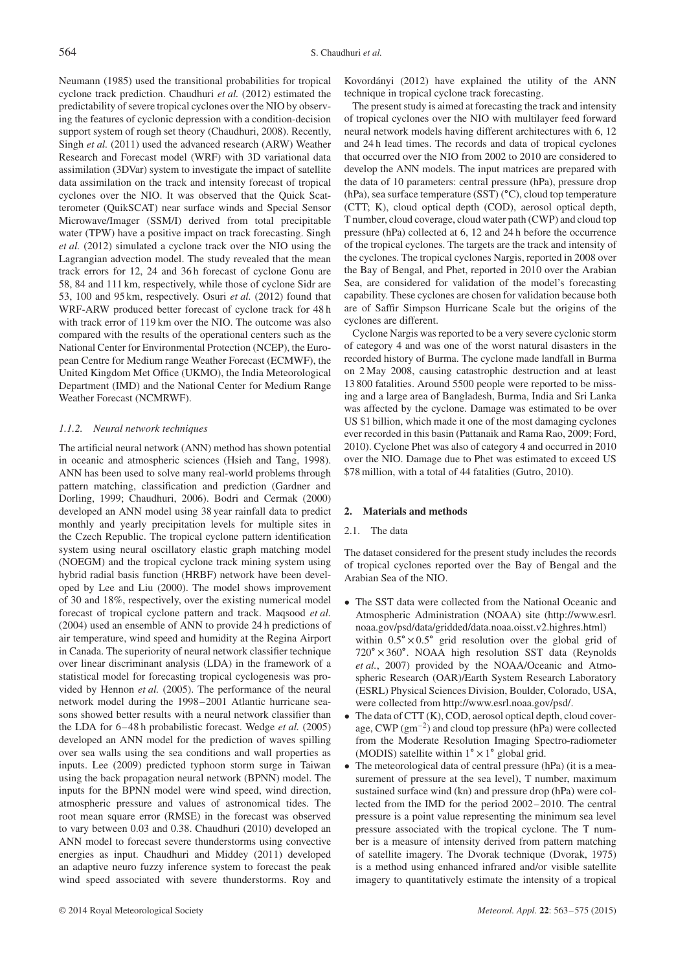Neumann (1985) used the transitional probabilities for tropical cyclone track prediction. Chaudhuri *et al.* (2012) estimated the predictability of severe tropical cyclones over the NIO by observing the features of cyclonic depression with a condition-decision support system of rough set theory (Chaudhuri, 2008). Recently, Singh *et al.* (2011) used the advanced research (ARW) Weather Research and Forecast model (WRF) with 3D variational data assimilation (3DVar) system to investigate the impact of satellite data assimilation on the track and intensity forecast of tropical cyclones over the NIO. It was observed that the Quick Scatterometer (QuikSCAT) near surface winds and Special Sensor Microwave/Imager (SSM/I) derived from total precipitable water (TPW) have a positive impact on track forecasting. Singh *et al.* (2012) simulated a cyclone track over the NIO using the Lagrangian advection model. The study revealed that the mean track errors for 12, 24 and 36 h forecast of cyclone Gonu are 58, 84 and 111 km, respectively, while those of cyclone Sidr are 53, 100 and 95 km, respectively. Osuri *et al.* (2012) found that WRF-ARW produced better forecast of cyclone track for 48 h with track error of 119 km over the NIO. The outcome was also compared with the results of the operational centers such as the National Center for Environmental Protection (NCEP), the European Centre for Medium range Weather Forecast (ECMWF), the United Kingdom Met Office (UKMO), the India Meteorological Department (IMD) and the National Center for Medium Range Weather Forecast (NCMRWF).

## *1.1.2. Neural network techniques*

The artificial neural network (ANN) method has shown potential in oceanic and atmospheric sciences (Hsieh and Tang, 1998). ANN has been used to solve many real-world problems through pattern matching, classification and prediction (Gardner and Dorling, 1999; Chaudhuri, 2006). Bodri and Cermak (2000) developed an ANN model using 38 year rainfall data to predict monthly and yearly precipitation levels for multiple sites in the Czech Republic. The tropical cyclone pattern identification system using neural oscillatory elastic graph matching model (NOEGM) and the tropical cyclone track mining system using hybrid radial basis function (HRBF) network have been developed by Lee and Liu (2000). The model shows improvement of 30 and 18%, respectively, over the existing numerical model forecast of tropical cyclone pattern and track. Maqsood *et al.* (2004) used an ensemble of ANN to provide 24 h predictions of air temperature, wind speed and humidity at the Regina Airport in Canada. The superiority of neural network classifier technique over linear discriminant analysis (LDA) in the framework of a statistical model for forecasting tropical cyclogenesis was provided by Hennon *et al.* (2005). The performance of the neural network model during the 1998–2001 Atlantic hurricane seasons showed better results with a neural network classifier than the LDA for 6–48 h probabilistic forecast. Wedge *et al.* (2005) developed an ANN model for the prediction of waves spilling over sea walls using the sea conditions and wall properties as inputs. Lee (2009) predicted typhoon storm surge in Taiwan using the back propagation neural network (BPNN) model. The inputs for the BPNN model were wind speed, wind direction, atmospheric pressure and values of astronomical tides. The root mean square error (RMSE) in the forecast was observed to vary between 0.03 and 0.38. Chaudhuri (2010) developed an ANN model to forecast severe thunderstorms using convective energies as input. Chaudhuri and Middey (2011) developed an adaptive neuro fuzzy inference system to forecast the peak wind speed associated with severe thunderstorms. Roy and Kovordányi (2012) have explained the utility of the ANN technique in tropical cyclone track forecasting.

The present study is aimed at forecasting the track and intensity of tropical cyclones over the NIO with multilayer feed forward neural network models having different architectures with 6, 12 and 24 h lead times. The records and data of tropical cyclones that occurred over the NIO from 2002 to 2010 are considered to develop the ANN models. The input matrices are prepared with the data of 10 parameters: central pressure (hPa), pressure drop (hPa), sea surface temperature (SST) (∘C), cloud top temperature (CTT; K), cloud optical depth (COD), aerosol optical depth, T number, cloud coverage, cloud water path (CWP) and cloud top pressure (hPa) collected at 6, 12 and 24 h before the occurrence of the tropical cyclones. The targets are the track and intensity of the cyclones. The tropical cyclones Nargis, reported in 2008 over the Bay of Bengal, and Phet, reported in 2010 over the Arabian Sea, are considered for validation of the model's forecasting capability. These cyclones are chosen for validation because both are of Saffir Simpson Hurricane Scale but the origins of the cyclones are different.

Cyclone Nargis was reported to be a very severe cyclonic storm of category 4 and was one of the worst natural disasters in the recorded history of Burma. The cyclone made landfall in Burma on 2 May 2008, causing catastrophic destruction and at least 13 800 fatalities. Around 5500 people were reported to be missing and a large area of Bangladesh, Burma, India and Sri Lanka was affected by the cyclone. Damage was estimated to be over US \$1 billion, which made it one of the most damaging cyclones ever recorded in this basin (Pattanaik and Rama Rao, 2009; Ford, 2010). Cyclone Phet was also of category 4 and occurred in 2010 over the NIO. Damage due to Phet was estimated to exceed US \$78 million, with a total of 44 fatalities (Gutro, 2010).

### **2. Materials and methods**

#### 2.1. The data

The dataset considered for the present study includes the records of tropical cyclones reported over the Bay of Bengal and the Arabian Sea of the NIO.

- The SST data were collected from the National Oceanic and Atmospheric Administration (NOAA) site (http://www.esrl. noaa.gov/psd/data/gridded/data.noaa.oisst.v2.highres.html) within  $0.5^\circ \times 0.5^\circ$  grid resolution over the global grid of 720∘ × 360∘ . NOAA high resolution SST data (Reynolds *et al.*, 2007) provided by the NOAA/Oceanic and Atmospheric Research (OAR)/Earth System Research Laboratory (ESRL) Physical Sciences Division, Boulder, Colorado, USA, were collected from http://www.esrl.noaa.gov/psd/.
- The data of CTT (K), COD, aerosol optical depth, cloud coverage, CWP  $(gm^{-2})$  and cloud top pressure (hPa) were collected from the Moderate Resolution Imaging Spectro-radiometer (MODIS) satellite within 1∘ × 1 ∘ global grid.
- The meteorological data of central pressure (hPa) (it is a measurement of pressure at the sea level), T number, maximum sustained surface wind (kn) and pressure drop (hPa) were collected from the IMD for the period 2002–2010. The central pressure is a point value representing the minimum sea level pressure associated with the tropical cyclone. The T number is a measure of intensity derived from pattern matching of satellite imagery. The Dvorak technique (Dvorak, 1975) is a method using enhanced infrared and/or visible satellite imagery to quantitatively estimate the intensity of a tropical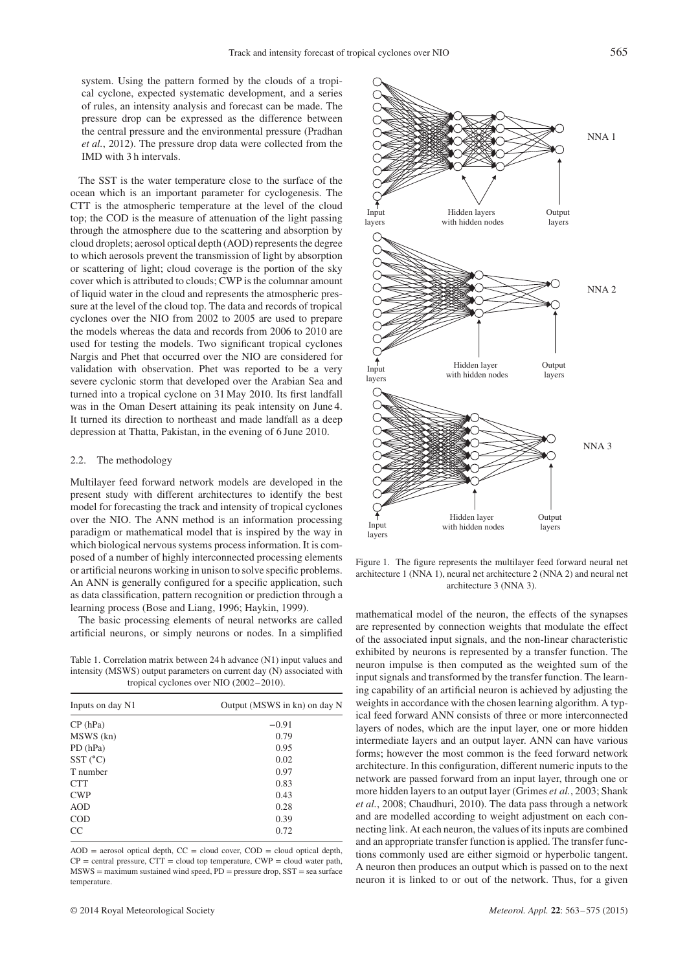system. Using the pattern formed by the clouds of a tropical cyclone, expected systematic development, and a series of rules, an intensity analysis and forecast can be made. The pressure drop can be expressed as the difference between the central pressure and the environmental pressure (Pradhan *et al.*, 2012). The pressure drop data were collected from the IMD with 3 h intervals.

The SST is the water temperature close to the surface of the ocean which is an important parameter for cyclogenesis. The CTT is the atmospheric temperature at the level of the cloud top; the COD is the measure of attenuation of the light passing through the atmosphere due to the scattering and absorption by cloud droplets; aerosol optical depth (AOD) represents the degree to which aerosols prevent the transmission of light by absorption or scattering of light; cloud coverage is the portion of the sky cover which is attributed to clouds; CWP is the columnar amount of liquid water in the cloud and represents the atmospheric pressure at the level of the cloud top. The data and records of tropical cyclones over the NIO from 2002 to 2005 are used to prepare the models whereas the data and records from 2006 to 2010 are used for testing the models. Two significant tropical cyclones Nargis and Phet that occurred over the NIO are considered for validation with observation. Phet was reported to be a very severe cyclonic storm that developed over the Arabian Sea and turned into a tropical cyclone on 31 May 2010. Its first landfall was in the Oman Desert attaining its peak intensity on June 4. It turned its direction to northeast and made landfall as a deep depression at Thatta, Pakistan, in the evening of 6 June 2010.

### 2.2. The methodology

Multilayer feed forward network models are developed in the present study with different architectures to identify the best model for forecasting the track and intensity of tropical cyclones over the NIO. The ANN method is an information processing paradigm or mathematical model that is inspired by the way in which biological nervous systems process information. It is composed of a number of highly interconnected processing elements or artificial neurons working in unison to solve specific problems. An ANN is generally configured for a specific application, such as data classification, pattern recognition or prediction through a learning process (Bose and Liang, 1996; Haykin, 1999).

The basic processing elements of neural networks are called artificial neurons, or simply neurons or nodes. In a simplified

Table 1. Correlation matrix between 24 h advance (N1) input values and intensity (MSWS) output parameters on current day (N) associated with tropical cyclones over NIO (2002–2010).

| Inputs on day N1 | Output (MSWS in kn) on day N |
|------------------|------------------------------|
| CP(hPa)          | $-0.91$                      |
| MSWS (kn)        | 0.79                         |
| PD(hPa)          | 0.95                         |
| $SST(^{\circ}C)$ | 0.02                         |
| T number         | 0.97                         |
| <b>CTT</b>       | 0.83                         |
| <b>CWP</b>       | 0.43                         |
| <b>AOD</b>       | 0.28                         |
| <b>COD</b>       | 0.39                         |
| <sub>CC</sub>    | 0.72                         |

 $AOD =$  aerosol optical depth,  $CC =$  cloud cover,  $COD =$  cloud optical depth,  $CP =$  central pressure,  $CTT =$  cloud top temperature,  $CWP =$  cloud water path,  $MSWS =$  maximum sustained wind speed,  $PD =$  pressure drop,  $SST =$  sea surface temperature.



Figure 1. The figure represents the multilayer feed forward neural net architecture 1 (NNA 1), neural net architecture 2 (NNA 2) and neural net architecture 3 (NNA 3).

mathematical model of the neuron, the effects of the synapses are represented by connection weights that modulate the effect of the associated input signals, and the non-linear characteristic exhibited by neurons is represented by a transfer function. The neuron impulse is then computed as the weighted sum of the input signals and transformed by the transfer function. The learning capability of an artificial neuron is achieved by adjusting the weights in accordance with the chosen learning algorithm. A typical feed forward ANN consists of three or more interconnected layers of nodes, which are the input layer, one or more hidden intermediate layers and an output layer. ANN can have various forms; however the most common is the feed forward network architecture. In this configuration, different numeric inputs to the network are passed forward from an input layer, through one or more hidden layers to an output layer (Grimes *et al.*, 2003; Shank *et al.*, 2008; Chaudhuri, 2010). The data pass through a network and are modelled according to weight adjustment on each connecting link. At each neuron, the values of its inputs are combined and an appropriate transfer function is applied. The transfer functions commonly used are either sigmoid or hyperbolic tangent. A neuron then produces an output which is passed on to the next neuron it is linked to or out of the network. Thus, for a given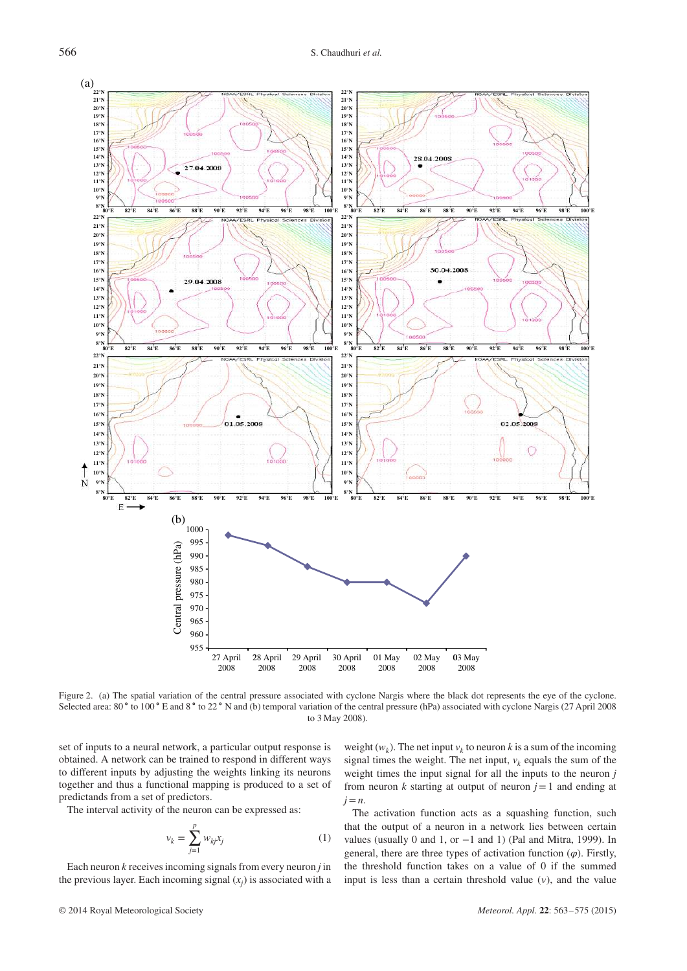

Figure 2. (a) The spatial variation of the central pressure associated with cyclone Nargis where the black dot represents the eye of the cyclone. Selected area: 80 ° to 100 ° E and 8 ° to 22 ° N and (b) temporal variation of the central pressure (hPa) associated with cyclone Nargis (27 April 2008 to 3 May 2008).

set of inputs to a neural network, a particular output response is obtained. A network can be trained to respond in different ways to different inputs by adjusting the weights linking its neurons together and thus a functional mapping is produced to a set of predictands from a set of predictors.

The interval activity of the neuron can be expressed as:

$$
v_k = \sum_{j=1}^p w_{kj} x_j \tag{1}
$$

Each neuron *k* receives incoming signals from every neuron *j* in the previous layer. Each incoming signal  $(x_j)$  is associated with a

weight  $(w_k)$ . The net input  $v_k$  to neuron *k* is a sum of the incoming signal times the weight. The net input,  $v_k$  equals the sum of the weight times the input signal for all the inputs to the neuron *j* from neuron  $k$  starting at output of neuron  $j = 1$  and ending at *j*=*n*.

The activation function acts as a squashing function, such that the output of a neuron in a network lies between certain values (usually 0 and 1, or  $-1$  and 1) (Pal and Mitra, 1999). In general, there are three types of activation function  $(\varphi)$ . Firstly, the threshold function takes on a value of 0 if the summed input is less than a certain threshold value  $(v)$ , and the value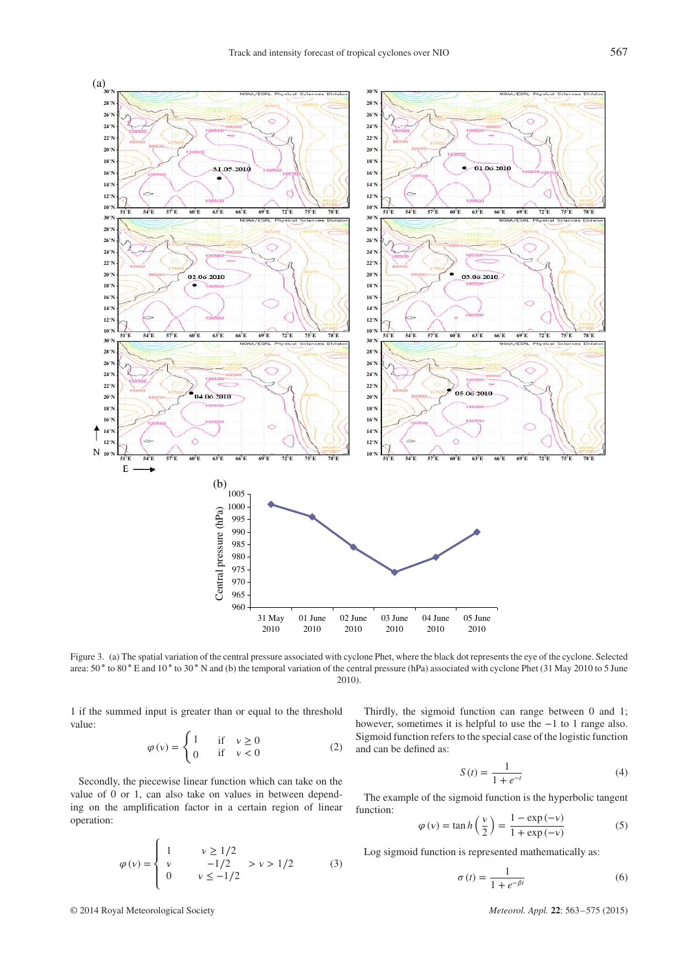

Figure 3. (a) The spatial variation of the central pressure associated with cyclone Phet, where the black dot represents the eye of the cyclone. Selected area: 50 ° to 80 ° E and 10 ° to 30 ° N and (b) the temporal variation of the central pressure (hPa) associated with cyclone Phet (31 May 2010 to 5 June 2010).

1 if the summed input is greater than or equal to the threshold value:

$$
\varphi(v) = \begin{cases} 1 & \text{if } v \ge 0 \\ 0 & \text{if } v < 0 \end{cases}
$$
 (2)

Secondly, the piecewise linear function which can take on the value of 0 or 1, can also take on values in between depending on the amplification factor in a certain region of linear operation:

$$
\varphi(v) = \begin{cases}\n1 & v \ge 1/2 \\
v & -1/2 \\
0 & v \le -1/2\n\end{cases} > v > 1/2
$$
\n(3)

Thirdly, the sigmoid function can range between 0 and 1; however, sometimes it is helpful to use the −1 to 1 range also. Sigmoid function refers to the special case of the logistic function and can be defined as:

$$
S(t) = \frac{1}{1 + e^{-t}}
$$
 (4)

The example of the sigmoid function is the hyperbolic tangent function:

$$
\varphi(v) = \tan h\left(\frac{v}{2}\right) = \frac{1 - \exp(-v)}{1 + \exp(-v)}
$$
(5)

Log sigmoid function is represented mathematically as:

$$
\sigma(t) = \frac{1}{1 + e^{-\beta t}}\tag{6}
$$

© 2014 Royal Meteorological Society *Meteorol. Appl.* **22**: 563–575 (2015)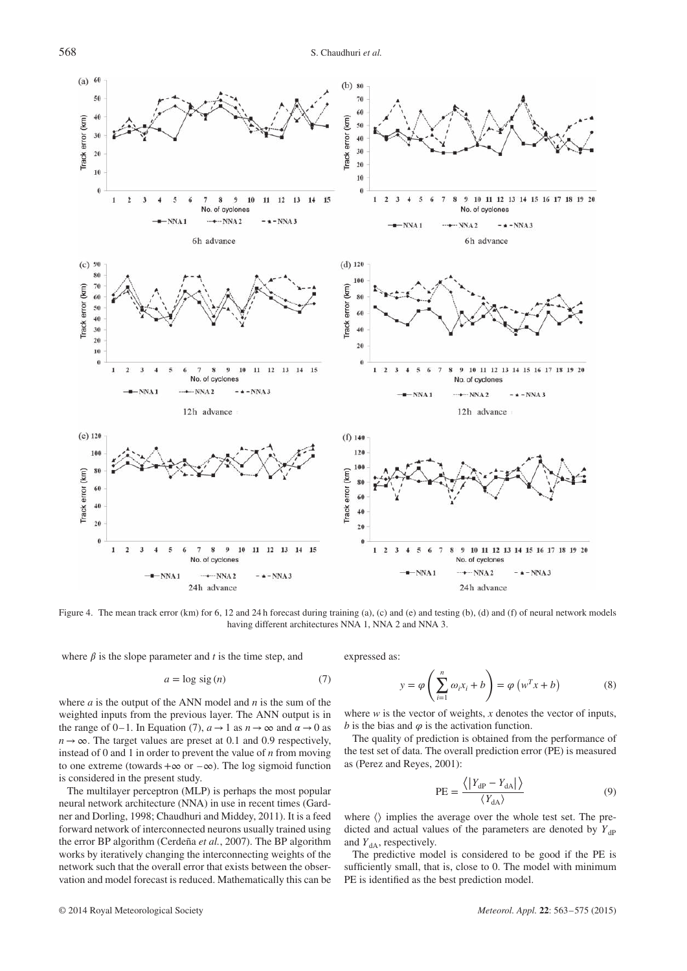

Figure 4. The mean track error (km) for 6, 12 and 24 h forecast during training (a), (c) and (e) and testing (b), (d) and (f) of neural network models having different architectures NNA 1, NNA 2 and NNA 3.

where  $\beta$  is the slope parameter and *t* is the time step, and

$$
a = \log \text{sig}(n) \tag{7}
$$

where *a* is the output of the ANN model and *n* is the sum of the weighted inputs from the previous layer. The ANN output is in the range of 0–1. In Equation (7),  $a \rightarrow 1$  as  $n \rightarrow \infty$  and  $\alpha \rightarrow 0$  as  $n \rightarrow \infty$ . The target values are preset at 0.1 and 0.9 respectively, instead of 0 and 1 in order to prevent the value of *n* from moving to one extreme (towards +∞ or  $-\infty$ ). The log sigmoid function is considered in the present study.

The multilayer perceptron (MLP) is perhaps the most popular neural network architecture (NNA) in use in recent times (Gardner and Dorling, 1998; Chaudhuri and Middey, 2011). It is a feed forward network of interconnected neurons usually trained using the error BP algorithm (Cerdeña *et al.*, 2007). The BP algorithm works by iteratively changing the interconnecting weights of the network such that the overall error that exists between the observation and model forecast is reduced. Mathematically this can be expressed as:

$$
y = \varphi\left(\sum_{i=1}^{n} \omega_i x_i + b\right) = \varphi\left(w^T x + b\right)
$$
 (8)

where *w* is the vector of weights, *x* denotes the vector of inputs, *b* is the bias and  $\varphi$  is the activation function.

The quality of prediction is obtained from the performance of the test set of data. The overall prediction error (PE) is measured as (Perez and Reyes, 2001):

$$
PE = \frac{\langle |Y_{\rm dP} - Y_{\rm dA} | \rangle}{\langle Y_{\rm dA} \rangle} \tag{9}
$$

where  $\langle \rangle$  implies the average over the whole test set. The predicted and actual values of the parameters are denoted by  $Y_{dP}$ and  $Y_{dA}$ , respectively.

The predictive model is considered to be good if the PE is sufficiently small, that is, close to 0. The model with minimum PE is identified as the best prediction model.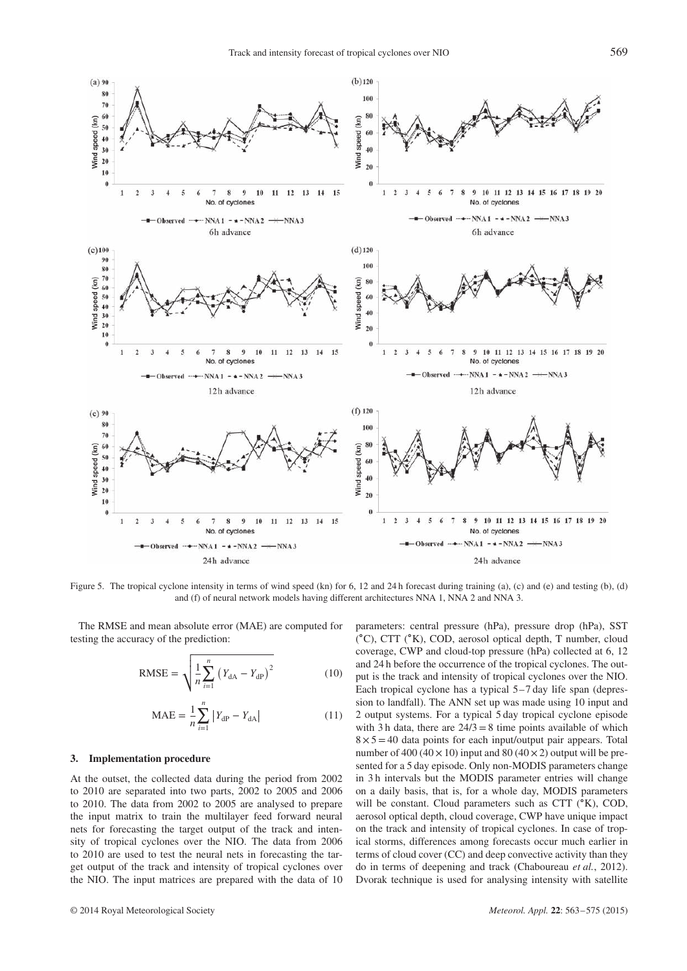

Figure 5. The tropical cyclone intensity in terms of wind speed (kn) for 6, 12 and 24 h forecast during training (a), (c) and (e) and testing (b), (d) and (f) of neural network models having different architectures NNA 1, NNA 2 and NNA 3.

The RMSE and mean absolute error (MAE) are computed for testing the accuracy of the prediction:

RMSE = 
$$
\sqrt{\frac{1}{n} \sum_{i=1}^{n} (Y_{\text{dA}} - Y_{\text{dP}})^2}
$$
 (10)

$$
MAE = \frac{1}{n} \sum_{i=1}^{n} |Y_{\text{dP}} - Y_{\text{dA}}|
$$
 (11)

#### **3. Implementation procedure**

At the outset, the collected data during the period from 2002 to 2010 are separated into two parts, 2002 to 2005 and 2006 to 2010. The data from 2002 to 2005 are analysed to prepare the input matrix to train the multilayer feed forward neural nets for forecasting the target output of the track and intensity of tropical cyclones over the NIO. The data from 2006 to 2010 are used to test the neural nets in forecasting the target output of the track and intensity of tropical cyclones over the NIO. The input matrices are prepared with the data of 10 parameters: central pressure (hPa), pressure drop (hPa), SST ( ∘C), CTT (∘K), COD, aerosol optical depth, T number, cloud coverage, CWP and cloud-top pressure (hPa) collected at 6, 12 and 24 h before the occurrence of the tropical cyclones. The output is the track and intensity of tropical cyclones over the NIO. Each tropical cyclone has a typical 5–7 day life span (depression to landfall). The ANN set up was made using 10 input and 2 output systems. For a typical 5 day tropical cyclone episode with 3 h data, there are  $24/3=8$  time points available of which  $8 \times 5 = 40$  data points for each input/output pair appears. Total number of  $400 (40 \times 10)$  input and  $80 (40 \times 2)$  output will be presented for a 5 day episode. Only non-MODIS parameters change in 3 h intervals but the MODIS parameter entries will change on a daily basis, that is, for a whole day, MODIS parameters will be constant. Cloud parameters such as CTT (∘K), COD, aerosol optical depth, cloud coverage, CWP have unique impact on the track and intensity of tropical cyclones. In case of tropical storms, differences among forecasts occur much earlier in terms of cloud cover (CC) and deep convective activity than they do in terms of deepening and track (Chaboureau *et al.*, 2012). Dvorak technique is used for analysing intensity with satellite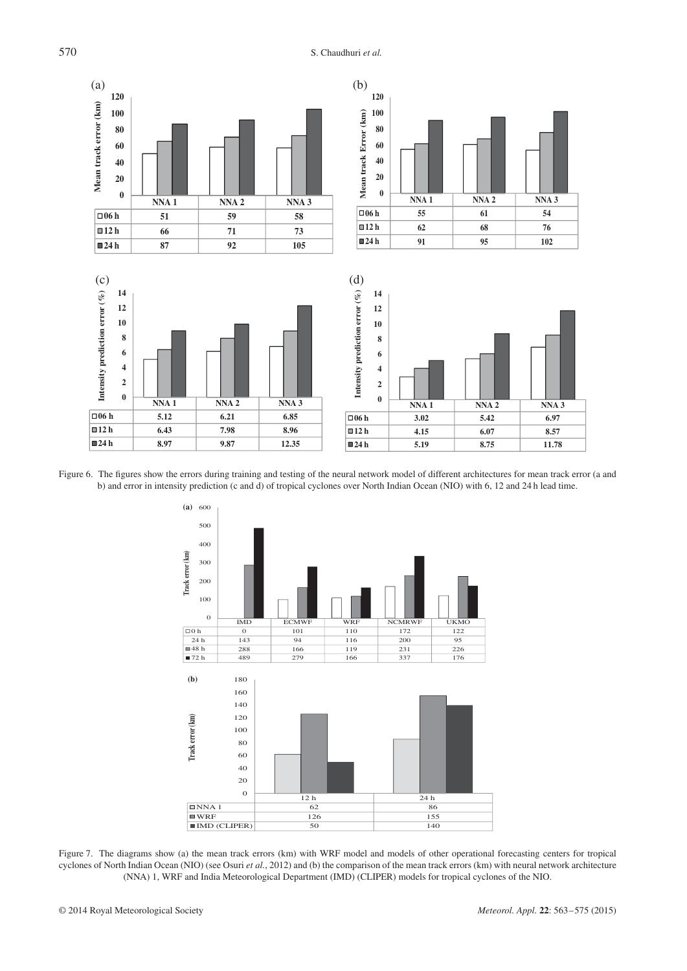570 S. Chaudhuri *et al.*



Figure 6. The figures show the errors during training and testing of the neural network model of different architectures for mean track error (a and b) and error in intensity prediction (c and d) of tropical cyclones over North Indian Ocean (NIO) with 6, 12 and 24 h lead time.



Figure 7. The diagrams show (a) the mean track errors (km) with WRF model and models of other operational forecasting centers for tropical cyclones of North Indian Ocean (NIO) (see Osuri *et al.*, 2012) and (b) the comparison of the mean track errors (km) with neural network architecture (NNA) 1, WRF and India Meteorological Department (IMD) (CLIPER) models for tropical cyclones of the NIO.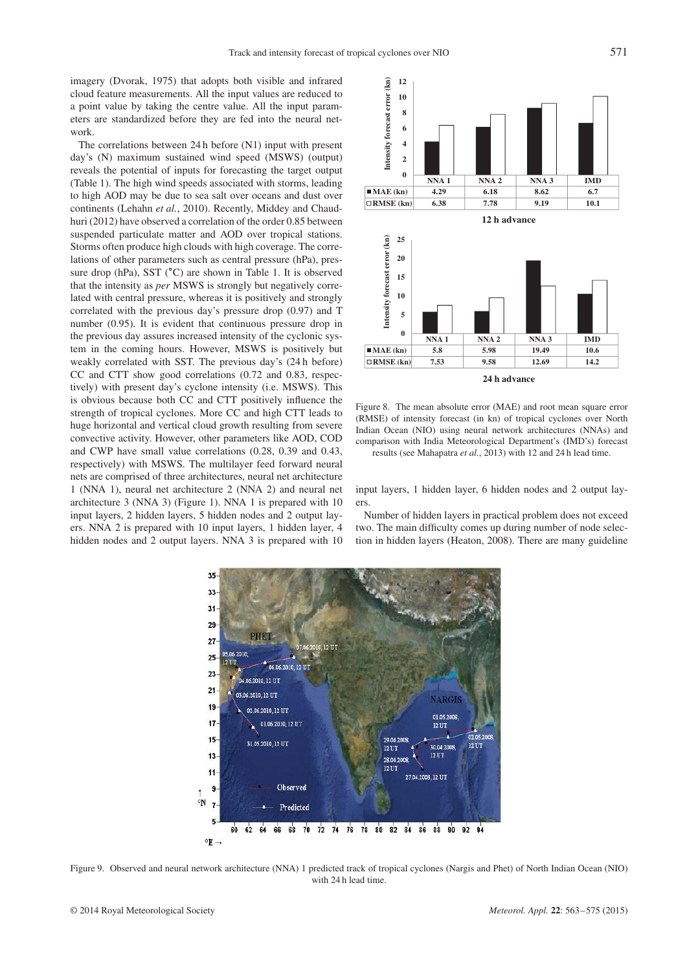imagery (Dvorak, 1975) that adopts both visible and infrared cloud feature measurements. All the input values are reduced to a point value by taking the centre value. All the input parameters are standardized before they are fed into the neural network.

The correlations between 24 h before (N1) input with present day's (N) maximum sustained wind speed (MSWS) (output) reveals the potential of inputs for forecasting the target output (Table 1). The high wind speeds associated with storms, leading to high AOD may be due to sea salt over oceans and dust over continents (Lehahn *et al.*, 2010). Recently, Middey and Chaudhuri (2012) have observed a correlation of the order 0.85 between suspended particulate matter and AOD over tropical stations. Storms often produce high clouds with high coverage. The correlations of other parameters such as central pressure (hPa), pressure drop (hPa), SST (°C) are shown in Table 1. It is observed that the intensity as *per* MSWS is strongly but negatively correlated with central pressure, whereas it is positively and strongly correlated with the previous day's pressure drop (0.97) and T number (0.95). It is evident that continuous pressure drop in the previous day assures increased intensity of the cyclonic system in the coming hours. However, MSWS is positively but weakly correlated with SST. The previous day's (24 h before) CC and CTT show good correlations (0.72 and 0.83, respectively) with present day's cyclone intensity (i.e. MSWS). This is obvious because both CC and CTT positively influence the strength of tropical cyclones. More CC and high CTT leads to huge horizontal and vertical cloud growth resulting from severe convective activity. However, other parameters like AOD, COD and CWP have small value correlations (0.28, 0.39 and 0.43, respectively) with MSWS. The multilayer feed forward neural nets are comprised of three architectures, neural net architecture 1 (NNA 1), neural net architecture 2 (NNA 2) and neural net architecture 3 (NNA 3) (Figure 1). NNA 1 is prepared with 10 input layers, 2 hidden layers, 5 hidden nodes and 2 output layers. NNA 2 is prepared with 10 input layers, 1 hidden layer, 4 hidden nodes and 2 output layers. NNA 3 is prepared with 10



Figure 8. The mean absolute error (MAE) and root mean square error (RMSE) of intensity forecast (in kn) of tropical cyclones over North Indian Ocean (NIO) using neural network architectures (NNAs) and comparison with India Meteorological Department's (IMD's) forecast results (see Mahapatra *et al.*, 2013) with 12 and 24 h lead time.

input layers, 1 hidden layer, 6 hidden nodes and 2 output layers.

Number of hidden layers in practical problem does not exceed two. The main difficulty comes up during number of node selection in hidden layers (Heaton, 2008). There are many guideline



Figure 9. Observed and neural network architecture (NNA) 1 predicted track of tropical cyclones (Nargis and Phet) of North Indian Ocean (NIO) with 24 h lead time.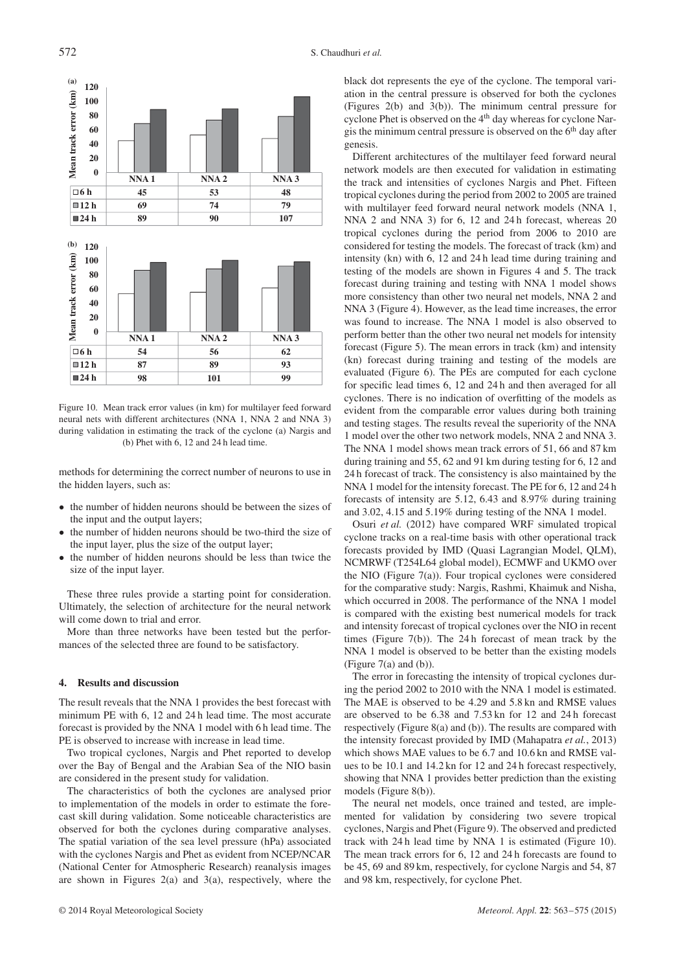

Figure 10. Mean track error values (in km) for multilayer feed forward neural nets with different architectures (NNA 1, NNA 2 and NNA 3) during validation in estimating the track of the cyclone (a) Nargis and (b) Phet with 6, 12 and 24 h lead time.

methods for determining the correct number of neurons to use in the hidden layers, such as:

- the number of hidden neurons should be between the sizes of the input and the output layers;
- the number of hidden neurons should be two-third the size of the input layer, plus the size of the output layer;
- the number of hidden neurons should be less than twice the size of the input layer.

These three rules provide a starting point for consideration. Ultimately, the selection of architecture for the neural network will come down to trial and error.

More than three networks have been tested but the performances of the selected three are found to be satisfactory.

#### **4. Results and discussion**

The result reveals that the NNA 1 provides the best forecast with minimum PE with 6, 12 and 24 h lead time. The most accurate forecast is provided by the NNA 1 model with 6 h lead time. The PE is observed to increase with increase in lead time.

Two tropical cyclones, Nargis and Phet reported to develop over the Bay of Bengal and the Arabian Sea of the NIO basin are considered in the present study for validation.

The characteristics of both the cyclones are analysed prior to implementation of the models in order to estimate the forecast skill during validation. Some noticeable characteristics are observed for both the cyclones during comparative analyses. The spatial variation of the sea level pressure (hPa) associated with the cyclones Nargis and Phet as evident from NCEP/NCAR (National Center for Atmospheric Research) reanalysis images are shown in Figures 2(a) and 3(a), respectively, where the

black dot represents the eye of the cyclone. The temporal variation in the central pressure is observed for both the cyclones (Figures 2(b) and 3(b)). The minimum central pressure for cyclone Phet is observed on the 4<sup>th</sup> day whereas for cyclone Nargis the minimum central pressure is observed on the  $6<sup>th</sup>$  day after genesis.

Different architectures of the multilayer feed forward neural network models are then executed for validation in estimating the track and intensities of cyclones Nargis and Phet. Fifteen tropical cyclones during the period from 2002 to 2005 are trained with multilayer feed forward neural network models (NNA 1, NNA 2 and NNA 3) for 6, 12 and 24 h forecast, whereas 20 tropical cyclones during the period from 2006 to 2010 are considered for testing the models. The forecast of track (km) and intensity (kn) with 6, 12 and 24 h lead time during training and testing of the models are shown in Figures 4 and 5. The track forecast during training and testing with NNA 1 model shows more consistency than other two neural net models, NNA 2 and NNA 3 (Figure 4). However, as the lead time increases, the error was found to increase. The NNA 1 model is also observed to perform better than the other two neural net models for intensity forecast (Figure 5). The mean errors in track (km) and intensity (kn) forecast during training and testing of the models are evaluated (Figure 6). The PEs are computed for each cyclone for specific lead times 6, 12 and 24 h and then averaged for all cyclones. There is no indication of overfitting of the models as evident from the comparable error values during both training and testing stages. The results reveal the superiority of the NNA 1 model over the other two network models, NNA 2 and NNA 3. The NNA 1 model shows mean track errors of 51, 66 and 87 km during training and 55, 62 and 91 km during testing for 6, 12 and 24 h forecast of track. The consistency is also maintained by the NNA 1 model for the intensity forecast. The PE for 6, 12 and 24 h forecasts of intensity are 5.12, 6.43 and 8.97% during training and 3.02, 4.15 and 5.19% during testing of the NNA 1 model.

Osuri *et al.* (2012) have compared WRF simulated tropical cyclone tracks on a real-time basis with other operational track forecasts provided by IMD (Quasi Lagrangian Model, QLM), NCMRWF (T254L64 global model), ECMWF and UKMO over the NIO (Figure  $7(a)$ ). Four tropical cyclones were considered for the comparative study: Nargis, Rashmi, Khaimuk and Nisha, which occurred in 2008. The performance of the NNA 1 model is compared with the existing best numerical models for track and intensity forecast of tropical cyclones over the NIO in recent times (Figure 7(b)). The 24 h forecast of mean track by the NNA 1 model is observed to be better than the existing models (Figure 7(a) and (b)).

The error in forecasting the intensity of tropical cyclones during the period 2002 to 2010 with the NNA 1 model is estimated. The MAE is observed to be 4.29 and 5.8 kn and RMSE values are observed to be 6.38 and 7.53 kn for 12 and 24 h forecast respectively (Figure 8(a) and (b)). The results are compared with the intensity forecast provided by IMD (Mahapatra *et al.*, 2013) which shows MAE values to be 6.7 and 10.6 kn and RMSE values to be 10.1 and 14.2 kn for 12 and 24 h forecast respectively, showing that NNA 1 provides better prediction than the existing models (Figure 8(b)).

The neural net models, once trained and tested, are implemented for validation by considering two severe tropical cyclones, Nargis and Phet (Figure 9). The observed and predicted track with 24 h lead time by NNA 1 is estimated (Figure 10). The mean track errors for 6, 12 and 24 h forecasts are found to be 45, 69 and 89 km, respectively, for cyclone Nargis and 54, 87 and 98 km, respectively, for cyclone Phet.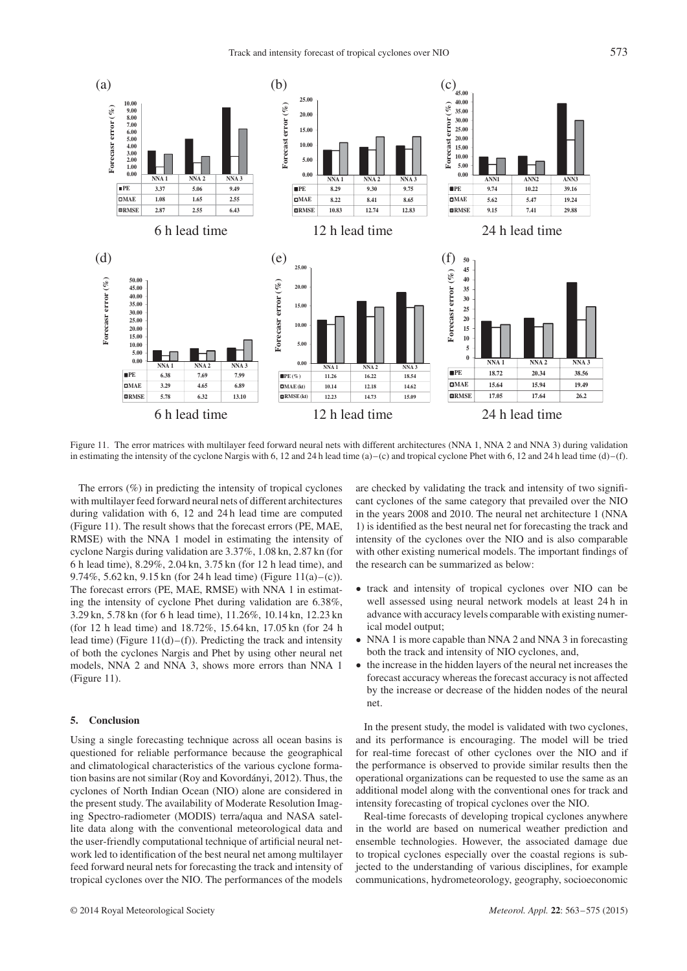

Figure 11. The error matrices with multilayer feed forward neural nets with different architectures (NNA 1, NNA 2 and NNA 3) during validation in estimating the intensity of the cyclone Nargis with 6, 12 and 24 h lead time  $(a)$ –(c) and tropical cyclone Phet with 6, 12 and 24 h lead time  $(d)$ –(f).

The errors  $(\%)$  in predicting the intensity of tropical cyclones with multilayer feed forward neural nets of different architectures during validation with 6, 12 and 24 h lead time are computed (Figure 11). The result shows that the forecast errors (PE, MAE, RMSE) with the NNA 1 model in estimating the intensity of cyclone Nargis during validation are 3.37%, 1.08 kn, 2.87 kn (for 6 h lead time), 8.29%, 2.04 kn, 3.75 kn (for 12 h lead time), and 9.74%, 5.62 kn, 9.15 kn (for 24 h lead time) (Figure 11(a)–(c)). The forecast errors (PE, MAE, RMSE) with NNA 1 in estimating the intensity of cyclone Phet during validation are 6.38%, 3.29 kn, 5.78 kn (for 6 h lead time), 11.26%, 10.14 kn, 12.23 kn (for 12 h lead time) and 18.72%, 15.64 kn, 17.05 kn (for 24 h lead time) (Figure  $11(d)$ –(f)). Predicting the track and intensity of both the cyclones Nargis and Phet by using other neural net models, NNA 2 and NNA 3, shows more errors than NNA 1 (Figure 11).

#### **5. Conclusion**

Using a single forecasting technique across all ocean basins is questioned for reliable performance because the geographical and climatological characteristics of the various cyclone formation basins are not similar (Roy and Kovordányi, 2012). Thus, the cyclones of North Indian Ocean (NIO) alone are considered in the present study. The availability of Moderate Resolution Imaging Spectro-radiometer (MODIS) terra/aqua and NASA satellite data along with the conventional meteorological data and the user-friendly computational technique of artificial neural network led to identification of the best neural net among multilayer feed forward neural nets for forecasting the track and intensity of tropical cyclones over the NIO. The performances of the models are checked by validating the track and intensity of two significant cyclones of the same category that prevailed over the NIO in the years 2008 and 2010. The neural net architecture 1 (NNA 1) is identified as the best neural net for forecasting the track and intensity of the cyclones over the NIO and is also comparable with other existing numerical models. The important findings of the research can be summarized as below:

- track and intensity of tropical cyclones over NIO can be well assessed using neural network models at least 24 h in advance with accuracy levels comparable with existing numerical model output;
- NNA 1 is more capable than NNA 2 and NNA 3 in forecasting both the track and intensity of NIO cyclones, and,
- the increase in the hidden layers of the neural net increases the forecast accuracy whereas the forecast accuracy is not affected by the increase or decrease of the hidden nodes of the neural net.

In the present study, the model is validated with two cyclones, and its performance is encouraging. The model will be tried for real-time forecast of other cyclones over the NIO and if the performance is observed to provide similar results then the operational organizations can be requested to use the same as an additional model along with the conventional ones for track and intensity forecasting of tropical cyclones over the NIO.

Real-time forecasts of developing tropical cyclones anywhere in the world are based on numerical weather prediction and ensemble technologies. However, the associated damage due to tropical cyclones especially over the coastal regions is subjected to the understanding of various disciplines, for example communications, hydrometeorology, geography, socioeconomic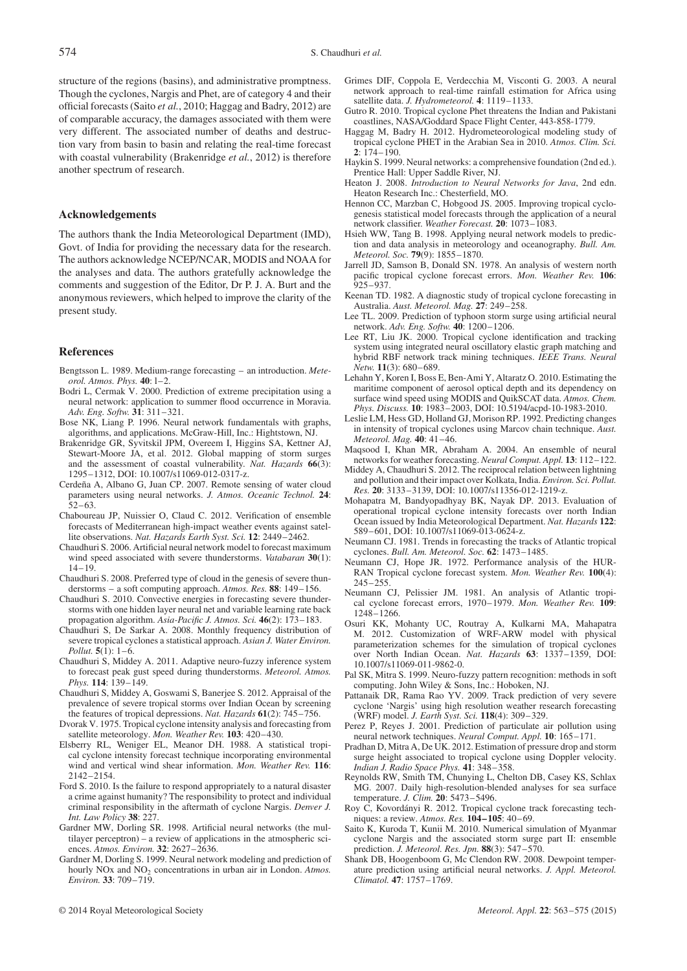structure of the regions (basins), and administrative promptness. Though the cyclones, Nargis and Phet, are of category 4 and their official forecasts (Saito *et al.*, 2010; Haggag and Badry, 2012) are of comparable accuracy, the damages associated with them were very different. The associated number of deaths and destruction vary from basin to basin and relating the real-time forecast with coastal vulnerability (Brakenridge *et al.*, 2012) is therefore another spectrum of research.

## **Acknowledgements**

The authors thank the India Meteorological Department (IMD), Govt. of India for providing the necessary data for the research. The authors acknowledge NCEP/NCAR, MODIS and NOAA for the analyses and data. The authors gratefully acknowledge the comments and suggestion of the Editor, Dr P. J. A. Burt and the anonymous reviewers, which helped to improve the clarity of the present study.

#### **References**

- Bengtsson L. 1989. Medium-range forecasting an introduction. *Meteorol. Atmos. Phys.* **40**: l–2.
- Bodri L, Cermak V. 2000. Prediction of extreme precipitation using a neural network: application to summer flood occurrence in Moravia. *Adv. Eng. Softw.* **31**: 311–321.
- Bose NK, Liang P. 1996. Neural network fundamentals with graphs, algorithms, and applications. McGraw-Hill, Inc.: Hightstown, NJ.
- Brakenridge GR, Syvitskil JPM, Overeem I, Higgins SA, Kettner AJ, Stewart-Moore JA, et al. 2012. Global mapping of storm surges and the assessment of coastal vulnerability. *Nat. Hazards* **66**(3): 1295–1312, DOI: 10.1007/s11069-012-0317-z.
- Cerdeña A, Albano G, Juan CP. 2007. Remote sensing of water cloud parameters using neural networks. *J. Atmos. Oceanic Technol.* **24**: 52–63.
- Chaboureau JP, Nuissier O, Claud C. 2012. Verification of ensemble forecasts of Mediterranean high-impact weather events against satellite observations. *Nat. Hazards Earth Syst. Sci.* **12**: 2449–2462.
- Chaudhuri S. 2006. Artificial neural network model to forecast maximum wind speed associated with severe thunderstorms. *Vatabaran* **30**(1): 14–19.
- Chaudhuri S. 2008. Preferred type of cloud in the genesis of severe thunderstorms – a soft computing approach. *Atmos. Res.* **88**: 149–156.
- Chaudhuri S. 2010. Convective energies in forecasting severe thunderstorms with one hidden layer neural net and variable learning rate back propagation algorithm. *Asia-Pacific J. Atmos. Sci.* **46**(2): 173–183.
- Chaudhuri S, De Sarkar A. 2008. Monthly frequency distribution of severe tropical cyclones a statistical approach. *Asian J. Water Environ. Pollut.* **5**(1): 1–6.
- Chaudhuri S, Middey A. 2011. Adaptive neuro-fuzzy inference system to forecast peak gust speed during thunderstorms. *Meteorol. Atmos. Phys.* **114**: 139–149.
- Chaudhuri S, Middey A, Goswami S, Banerjee S. 2012. Appraisal of the prevalence of severe tropical storms over Indian Ocean by screening the features of tropical depressions. *Nat. Hazards* **61**(2): 745–756.
- Dvorak V. 1975. Tropical cyclone intensity analysis and forecasting from satellite meteorology. *Mon. Weather Rev.* **103**: 420–430.
- Elsberry RL, Weniger EL, Meanor DH. 1988. A statistical tropical cyclone intensity forecast technique incorporating environmental wind and vertical wind shear information. *Mon. Weather Rev.* **116**: 2142–2154.
- Ford S. 2010. Is the failure to respond appropriately to a natural disaster a crime against humanity? The responsibility to protect and individual criminal responsibility in the aftermath of cyclone Nargis. *Denver J. Int. Law Policy* **38**: 227.
- Gardner MW, Dorling SR. 1998. Artificial neural networks (the multilayer perceptron) – a review of applications in the atmospheric sciences. *Atmos. Environ.* **32**: 2627–2636.
- Gardner M, Dorling S. 1999. Neural network modeling and prediction of hourly NO<sub>x</sub> and NO<sub>2</sub> concentrations in urban air in London. Atmos. *Environ.* **33**: 709–719.
- © 2014 Royal Meteorological Society *Meteorol. Appl.* **22**: 563–575 (2015)
- Grimes DIF, Coppola E, Verdecchia M, Visconti G. 2003. A neural network approach to real-time rainfall estimation for Africa using satellite data. *J. Hydrometeorol.* **4**: 1119–1133.
- Gutro R. 2010. Tropical cyclone Phet threatens the Indian and Pakistani coastlines, NASA/Goddard Space Flight Center, 443-858-1779.
- Haggag M, Badry H. 2012. Hydrometeorological modeling study of tropical cyclone PHET in the Arabian Sea in 2010. *Atmos. Clim. Sci.* **2**: 174–190.
- Haykin S. 1999. Neural networks: a comprehensive foundation (2nd ed.). Prentice Hall: Upper Saddle River, NJ.
- Heaton J. 2008. *Introduction to Neural Networks for Java*, 2nd edn. Heaton Research Inc.: Chesterfield, MO.
- Hennon CC, Marzban C, Hobgood JS. 2005. Improving tropical cyclogenesis statistical model forecasts through the application of a neural network classifier. *Weather Forecast.* **20**: 1073–1083.
- Hsieh WW, Tang B. 1998. Applying neural network models to prediction and data analysis in meteorology and oceanography. *Bull. Am. Meteorol. Soc.* **79**(9): 1855–1870.
- Jarrell JD, Samson B, Donald SN. 1978. An analysis of western north pacific tropical cyclone forecast errors. *Mon. Weather Rev.* **106**:  $925 - 937$ .
- Keenan TD. 1982. A diagnostic study of tropical cyclone forecasting in Australia. *Aust. Meteorol. Mag.* **27**: 249–258.
- Lee TL. 2009. Prediction of typhoon storm surge using artificial neural network. *Adv. Eng. Softw.* **40**: 1200–1206.
- Lee RT, Liu JK. 2000. Tropical cyclone identification and tracking system using integrated neural oscillatory elastic graph matching and hybrid RBF network track mining techniques. *IEEE Trans. Neural Netw.* **11**(3): 680–689.
- Lehahn Y, Koren I, Boss E, Ben-Ami Y, Altaratz O. 2010. Estimating the maritime component of aerosol optical depth and its dependency on surface wind speed using MODIS and QuikSCAT data. *Atmos. Chem. Phys. Discuss.* **10**: 1983–2003, DOI: 10.5194/acpd-10-1983-2010.
- Leslie LM, Hess GD, Holland GJ, Morison RP. 1992. Predicting changes in intensity of tropical cyclones using Marcov chain technique. *Aust. Meteorol. Mag.* **40**: 41–46.
- Maqsood I, Khan MR, Abraham A. 2004. An ensemble of neural networks for weather forecasting. *Neural Comput. Appl.* **13**: 112–122.
- Middey A, Chaudhuri S. 2012. The reciprocal relation between lightning and pollution and their impact over Kolkata, India. *Environ. Sci. Pollut. Res.* **20**: 3133–3139, DOI: 10.1007/s11356-012-1219-z.
- Mohapatra M, Bandyopadhyay BK, Nayak DP. 2013. Evaluation of operational tropical cyclone intensity forecasts over north Indian Ocean issued by India Meteorological Department. *Nat. Hazards* **122**: 589–601, DOI: 10.1007/s11069-013-0624-z.
- Neumann CJ. 1981. Trends in forecasting the tracks of Atlantic tropical cyclones. *Bull. Am. Meteorol. Soc.* **62**: 1473–1485.
- Neumann CJ, Hope JR. 1972. Performance analysis of the HUR-RAN Tropical cyclone forecast system. *Mon. Weather Rev.* **100**(4): 245–255.
- Neumann CJ, Pelissier JM. 1981. An analysis of Atlantic tropical cyclone forecast errors, 1970–1979. *Mon. Weather Rev.* **109**: 1248–1266.
- Osuri KK, Mohanty UC, Routray A, Kulkarni MA, Mahapatra M. 2012. Customization of WRF-ARW model with physical parameterization schemes for the simulation of tropical cyclones over North Indian Ocean. *Nat. Hazards* **63**: 1337–1359, DOI: 10.1007/s11069-011-9862-0.
- Pal SK, Mitra S. 1999. Neuro-fuzzy pattern recognition: methods in soft computing. John Wiley & Sons, Inc.: Hoboken, NJ.
- Pattanaik DR, Rama Rao YV. 2009. Track prediction of very severe cyclone 'Nargis' using high resolution weather research forecasting (WRF) model. *J. Earth Syst. Sci.* **118**(4): 309–329.
- Perez P, Reyes J. 2001. Prediction of particulate air pollution using neural network techniques. *Neural Comput. Appl.* **10**: 165–171.
- Pradhan D, Mitra A, De UK. 2012. Estimation of pressure drop and storm surge height associated to tropical cyclone using Doppler velocity. *Indian J. Radio Space Phys.* **41**: 348–358.
- Reynolds RW, Smith TM, Chunying L, Chelton DB, Casey KS, Schlax MG. 2007. Daily high-resolution-blended analyses for sea surface temperature. *J. Clim.* **20**: 5473–5496.
- Roy C, Kovordányi R. 2012. Tropical cyclone track forecasting techniques: a review. *Atmos. Res.* **104–105**: 40–69.
- Saito K, Kuroda T, Kunii M. 2010. Numerical simulation of Myanmar cyclone Nargis and the associated storm surge part II: ensemble prediction. *J. Meteorol. Res. Jpn.* **88**(3): 547–570.
- Shank DB, Hoogenboom G, Mc Clendon RW. 2008. Dewpoint temperature prediction using artificial neural networks. *J. Appl. Meteorol. Climatol.* **47**: 1757–1769.